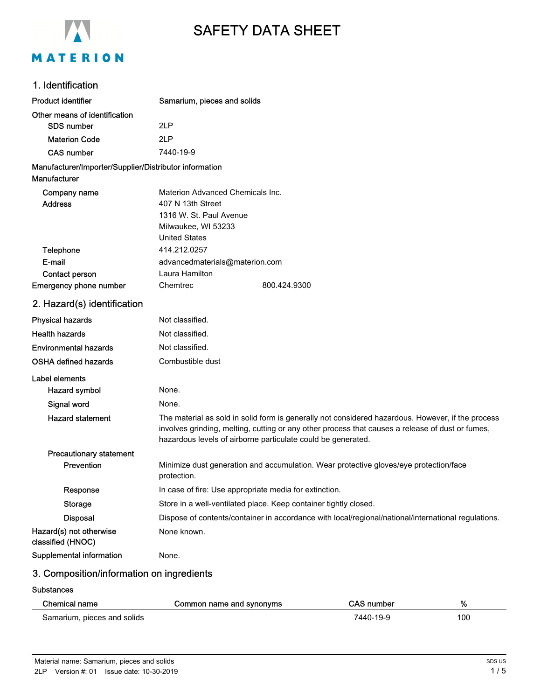

# SAFETY DATA SHEET

## 1. Identification

| <b>Product identifier</b>                                              | Samarium, pieces and solids                                                                                                                                                                                                                                           |              |  |
|------------------------------------------------------------------------|-----------------------------------------------------------------------------------------------------------------------------------------------------------------------------------------------------------------------------------------------------------------------|--------------|--|
| Other means of identification                                          |                                                                                                                                                                                                                                                                       |              |  |
| <b>SDS number</b>                                                      | 2LP                                                                                                                                                                                                                                                                   |              |  |
| <b>Materion Code</b>                                                   | 2LP                                                                                                                                                                                                                                                                   |              |  |
| <b>CAS number</b>                                                      | 7440-19-9                                                                                                                                                                                                                                                             |              |  |
| Manufacturer/Importer/Supplier/Distributor information<br>Manufacturer |                                                                                                                                                                                                                                                                       |              |  |
| Company name                                                           | Materion Advanced Chemicals Inc.                                                                                                                                                                                                                                      |              |  |
| <b>Address</b>                                                         | 407 N 13th Street                                                                                                                                                                                                                                                     |              |  |
|                                                                        | 1316 W. St. Paul Avenue                                                                                                                                                                                                                                               |              |  |
|                                                                        | Milwaukee, WI 53233                                                                                                                                                                                                                                                   |              |  |
|                                                                        | <b>United States</b>                                                                                                                                                                                                                                                  |              |  |
| Telephone<br>E-mail                                                    | 414.212.0257                                                                                                                                                                                                                                                          |              |  |
| Contact person                                                         | advancedmaterials@materion.com<br>Laura Hamilton                                                                                                                                                                                                                      |              |  |
| Emergency phone number                                                 | Chemtrec                                                                                                                                                                                                                                                              | 800.424.9300 |  |
| 2. Hazard(s) identification                                            |                                                                                                                                                                                                                                                                       |              |  |
| <b>Physical hazards</b>                                                | Not classified.                                                                                                                                                                                                                                                       |              |  |
| <b>Health hazards</b>                                                  | Not classified.                                                                                                                                                                                                                                                       |              |  |
| <b>Environmental hazards</b>                                           | Not classified.                                                                                                                                                                                                                                                       |              |  |
| <b>OSHA defined hazards</b>                                            | Combustible dust                                                                                                                                                                                                                                                      |              |  |
| Label elements                                                         |                                                                                                                                                                                                                                                                       |              |  |
| Hazard symbol                                                          | None.                                                                                                                                                                                                                                                                 |              |  |
| Signal word                                                            | None.                                                                                                                                                                                                                                                                 |              |  |
| <b>Hazard statement</b>                                                | The material as sold in solid form is generally not considered hazardous. However, if the process<br>involves grinding, melting, cutting or any other process that causes a release of dust or fumes,<br>hazardous levels of airborne particulate could be generated. |              |  |
| <b>Precautionary statement</b>                                         |                                                                                                                                                                                                                                                                       |              |  |
| Prevention                                                             | Minimize dust generation and accumulation. Wear protective gloves/eye protection/face<br>protection.                                                                                                                                                                  |              |  |
| Response                                                               | In case of fire: Use appropriate media for extinction.                                                                                                                                                                                                                |              |  |
| <b>Storage</b>                                                         | Store in a well-ventilated place. Keep container tightly closed.                                                                                                                                                                                                      |              |  |
| <b>Disposal</b>                                                        | Dispose of contents/container in accordance with local/regional/national/international regulations.                                                                                                                                                                   |              |  |
| Hazard(s) not otherwise<br>classified (HNOC)                           | None known.                                                                                                                                                                                                                                                           |              |  |

Supplemental information None.

# 3. Composition/information on ingredients

#### **Substances**

 $\overline{a}$ 

| Chemical name               | Common name and synonyms | <b>CAS number</b> | %   |
|-----------------------------|--------------------------|-------------------|-----|
| Samarium, pieces and solids |                          | 7440-19-9         | 100 |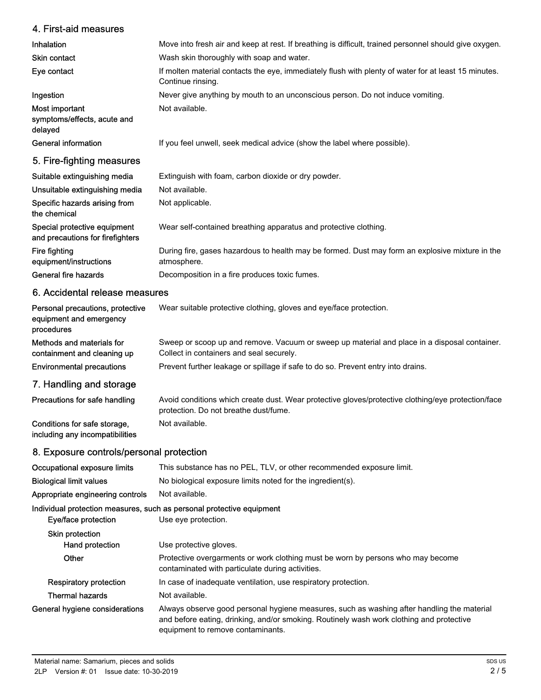#### 4. First-aid measures Inhalation Move into fresh air and keep at rest. If breathing is difficult, trained personnel should give oxygen. Skin contact Wash skin thoroughly with soap and water. If molten material contacts the eye, immediately flush with plenty of water for at least 15 minutes. Continue rinsing. Eye contact **Ingestion** Never give anything by mouth to an unconscious person. Do not induce vomiting. Most important Not available. symptoms/effects, acute and delayed General information **If you feel unwell, seek medical advice (show the label where possible).** 5. Fire-fighting measures Suitable extinguishing media Extinguish with foam, carbon dioxide or dry powder. Unsuitable extinguishing media Not available. Specific hazards arising from Not applicable. the chemical Special protective equipment Wear self-contained breathing apparatus and protective clothing. and precautions for firefighters During fire, gases hazardous to health may be formed. Dust may form an explosive mixture in the atmosphere. Fire fighting equipment/instructions General fire hazards **Decomposition in a fire produces toxic fumes.** 6. Accidental release measures Personal precautions, protective Wear suitable protective clothing, gloves and eye/face protection. equipment and emergency procedures Sweep or scoop up and remove. Vacuum or sweep up material and place in a disposal container. Collect in containers and seal securely. Methods and materials for containment and cleaning up Environmental precautions Prevent further leakage or spillage if safe to do so. Prevent entry into drains. 7. Handling and storage Avoid conditions which create dust. Wear protective gloves/protective clothing/eye protection/face protection. Do not breathe dust/fume. Precautions for safe handling Conditions for safe storage, Not available. including any incompatibilities 8. Exposure controls/personal protection Occupational exposure limits This substance has no PEL, TLV, or other recommended exposure limit. Biological limit values No biological exposure limits noted for the ingredient(s). Appropriate engineering controls Not available. Individual protection measures, such as personal protective equipment Eye/face protection Use eye protection. Skin protection Hand protection Use protective gloves. Protective overgarments or work clothing must be worn by persons who may become contaminated with particulate during activities. **Other** Respiratory protection In case of inadequate ventilation, use respiratory protection. Thermal hazards Not available. Always observe good personal hygiene measures, such as washing after handling the material and before eating, drinking, and/or smoking. Routinely wash work clothing and protective equipment to remove contaminants. General hygiene considerations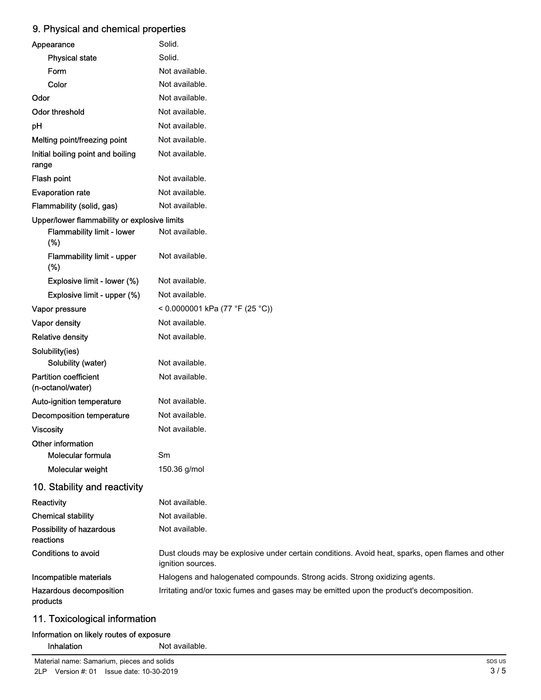# 9. Physical and chemical properties

| Appearance                                        | Solid.                                                                                                                |
|---------------------------------------------------|-----------------------------------------------------------------------------------------------------------------------|
| <b>Physical state</b>                             | Solid.                                                                                                                |
| Form                                              | Not available.                                                                                                        |
| Color                                             | Not available.                                                                                                        |
| Odor                                              | Not available.                                                                                                        |
| <b>Odor threshold</b>                             | Not available.                                                                                                        |
| pH                                                | Not available.                                                                                                        |
| Melting point/freezing point                      | Not available.                                                                                                        |
| Initial boiling point and boiling<br>range        | Not available.                                                                                                        |
| Flash point                                       | Not available.                                                                                                        |
| <b>Evaporation rate</b>                           | Not available.                                                                                                        |
| Flammability (solid, gas)                         | Not available.                                                                                                        |
| Upper/lower flammability or explosive limits      |                                                                                                                       |
| Flammability limit - lower<br>(%)                 | Not available.                                                                                                        |
| Flammability limit - upper<br>(%)                 | Not available.                                                                                                        |
| Explosive limit - lower (%)                       | Not available.                                                                                                        |
| Explosive limit - upper (%)                       | Not available.                                                                                                        |
| Vapor pressure                                    | < 0.0000001 kPa (77 °F (25 °C))                                                                                       |
| Vapor density                                     | Not available.                                                                                                        |
| <b>Relative density</b>                           | Not available.                                                                                                        |
| Solubility(ies)                                   |                                                                                                                       |
| Solubility (water)                                | Not available.                                                                                                        |
| <b>Partition coefficient</b><br>(n-octanol/water) | Not available.                                                                                                        |
| Auto-ignition temperature                         | Not available.                                                                                                        |
| <b>Decomposition temperature</b>                  | Not available.                                                                                                        |
| <b>Viscosity</b>                                  | Not available.                                                                                                        |
| Other information                                 |                                                                                                                       |
| Molecular formula                                 | Sm                                                                                                                    |
| Molecular weight                                  | 150.36 g/mol                                                                                                          |
| 10. Stability and reactivity                      |                                                                                                                       |
| Reactivity                                        | Not available.                                                                                                        |
| <b>Chemical stability</b>                         | Not available.                                                                                                        |
| Possibility of hazardous<br>reactions             | Not available.                                                                                                        |
| <b>Conditions to avoid</b>                        | Dust clouds may be explosive under certain conditions. Avoid heat, sparks, open flames and other<br>ignition sources. |
| Incompatible materials                            | Halogens and halogenated compounds. Strong acids. Strong oxidizing agents.                                            |
| Hazardous decomposition<br>products               | Irritating and/or toxic fumes and gases may be emitted upon the product's decomposition.                              |

# 11. Toxicological information

### Information on likely routes of exposure Inhalation Not available.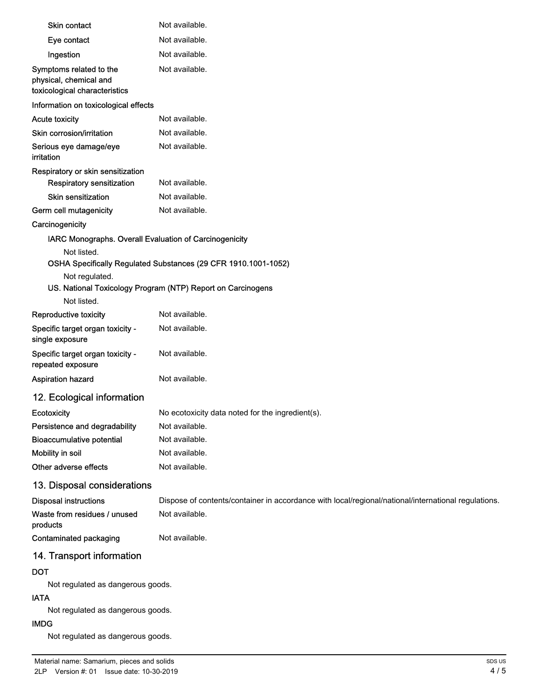| <b>Skin contact</b>                                                                | Not available.                                                                                      |
|------------------------------------------------------------------------------------|-----------------------------------------------------------------------------------------------------|
| Eye contact                                                                        | Not available.                                                                                      |
| Ingestion                                                                          | Not available.                                                                                      |
| Symptoms related to the<br>physical, chemical and<br>toxicological characteristics | Not available.                                                                                      |
| Information on toxicological effects                                               |                                                                                                     |
| <b>Acute toxicity</b>                                                              | Not available.                                                                                      |
| Skin corrosion/irritation                                                          | Not available.                                                                                      |
| Serious eye damage/eye<br>irritation                                               | Not available.                                                                                      |
| Respiratory or skin sensitization                                                  |                                                                                                     |
| Respiratory sensitization                                                          | Not available.                                                                                      |
| <b>Skin sensitization</b>                                                          | Not available.                                                                                      |
| Germ cell mutagenicity                                                             | Not available.                                                                                      |
| Carcinogenicity                                                                    |                                                                                                     |
| IARC Monographs. Overall Evaluation of Carcinogenicity<br>Not listed.              | OSHA Specifically Regulated Substances (29 CFR 1910.1001-1052)                                      |
| Not regulated.                                                                     | US. National Toxicology Program (NTP) Report on Carcinogens                                         |
| Not listed.                                                                        |                                                                                                     |
| Reproductive toxicity                                                              | Not available.                                                                                      |
| Specific target organ toxicity -<br>single exposure                                | Not available.                                                                                      |
| Specific target organ toxicity -<br>repeated exposure                              | Not available.                                                                                      |
| Aspiration hazard                                                                  | Not available.                                                                                      |
| 12. Ecological information                                                         |                                                                                                     |
| Ecotoxicity                                                                        | No ecotoxicity data noted for the ingredient(s).                                                    |
| Persistence and degradability                                                      | Not available.                                                                                      |
| <b>Bioaccumulative potential</b>                                                   | Not available.                                                                                      |
| Mobility in soil                                                                   | Not available.                                                                                      |
| Other adverse effects                                                              | Not available.                                                                                      |
| 13. Disposal considerations                                                        |                                                                                                     |
| <b>Disposal instructions</b>                                                       | Dispose of contents/container in accordance with local/regional/national/international regulations. |
| Waste from residues / unused<br>products                                           | Not available.                                                                                      |
| Contaminated packaging                                                             | Not available.                                                                                      |
| 14. Transport information                                                          |                                                                                                     |
| DOT                                                                                |                                                                                                     |
| Not regulated as dangerous goods.                                                  |                                                                                                     |
| <b>IATA</b>                                                                        |                                                                                                     |
| Not regulated as dangerous goods.                                                  |                                                                                                     |
| <b>IMDG</b>                                                                        |                                                                                                     |
| Not regulated as dangerous goods.                                                  |                                                                                                     |